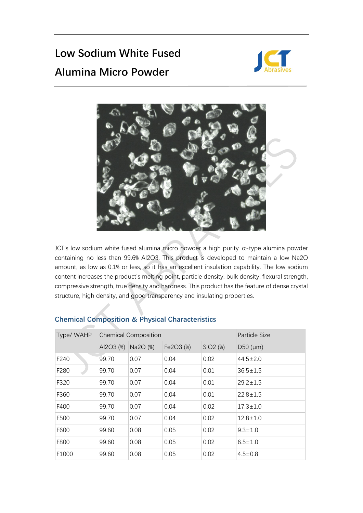## **Low Sodium White Fused Alumina Micro Powder**





JCT's low sodium white fused alumina micro powder a high purity α-type alumina powder containing no less than 99.6% Al2O3. This product is developed to maintain a low Na2O amount, as low as 0.1% or less, so it has an excellent insulation capability. The low sodium content increases the product's melting point, particle density, bulk density, flexural strength, compressive strength, true density and hardness. This product has the feature of dense crystal structure, high density, and good transparency and insulating properties.

| Type/ WAHP |           | <b>Chemical Composition</b> | Particle Size |                      |                  |
|------------|-----------|-----------------------------|---------------|----------------------|------------------|
|            | AI2O3 (%) | Na2O (%)                    | Fe2O3 (%)     | SiO <sub>2</sub> (%) | $D50 \, (\mu m)$ |
| F240       | 99.70     | 0.07                        | 0.04          | 0.02                 | $44.5 \pm 2.0$   |
| F280       | 99.70     | 0.07                        | 0.04          | 0.01                 | $36.5 \pm 1.5$   |
| F320       | 99.70     | 0.07                        | 0.04          | 0.01                 | $29.2 \pm 1.5$   |
| F360       | 99.70     | 0.07                        | 0.04          | 0.01                 | $22.8 \pm 1.5$   |
| F400       | 99.70     | 0.07                        | 0.04          | 0.02                 | $17.3 \pm 1.0$   |
| F500       | 99.70     | 0.07                        | 0.04          | 0.02                 | $12.8 \pm 1.0$   |
| F600       | 99.60     | 0.08                        | 0.05          | 0.02                 | $9.3 \pm 1.0$    |
| F800       | 99.60     | 0.08                        | 0.05          | 0.02                 | $6.5 \pm 1.0$    |
| F1000      | 99.60     | 0.08                        | 0.05          | 0.02                 | $4.5 \pm 0.8$    |

## **Chemical Composition & Physical Characteristics**